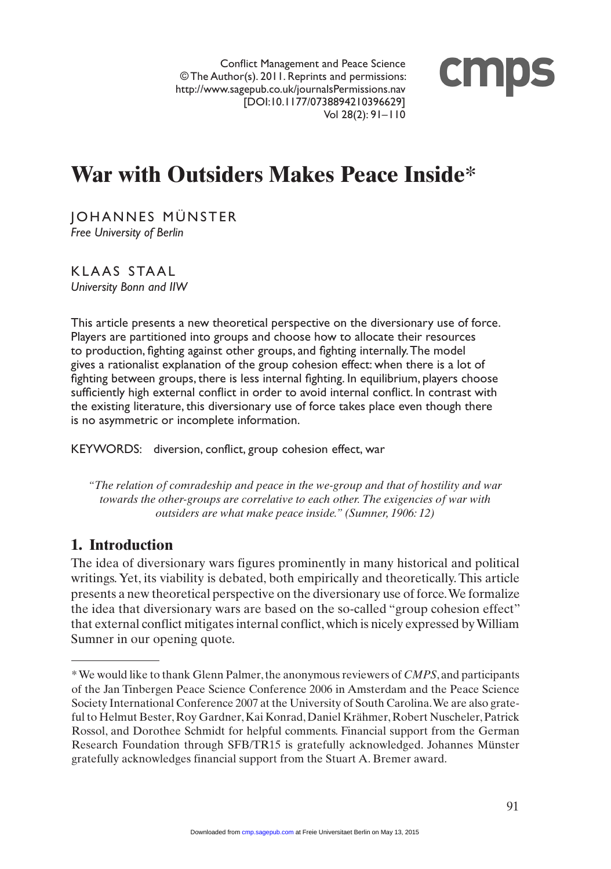Conflict Management and Peace Science © The Author(s). 2011. Reprints and permissions: http://www.sagepub.co.uk/journalsPermissions.nav [DOI:10.1177/0738894210396629] Vol 28(2): 91–110



# **War with Outsiders Makes Peace Inside\***

JOHANNES MÜNSTER *Free University of Berlin*

K L A A S STAAL *University Bonn and IIW*

This article presents a new theoretical perspective on the diversionary use of force. Players are partitioned into groups and choose how to allocate their resources to production, fighting against other groups, and fighting internally. The model gives a rationalist explanation of the group cohesion effect: when there is a lot of fighting between groups, there is less internal fighting. In equilibrium, players choose sufficiently high external conflict in order to avoid internal conflict. In contrast with the existing literature, this diversionary use of force takes place even though there is no asymmetric or incomplete information.

KEYWORDS: diversion, conflict, group cohesion effect, war

*"The relation of comradeship and peace in the we-group and that of hostility and war towards the other-groups are correlative to each other. The exigencies of war with outsiders are what make peace inside." (Sumner, 1906: 12)* 

# **1. Introduction**

The idea of diversionary wars figures prominently in many historical and political writings. Yet, its viability is debated, both empirically and theoretically. This article presents a new theoretical perspective on the diversionary use of force. We formalize the idea that diversionary wars are based on the so-called "group cohesion effect" that external conflict mitigates internal conflict, which is nicely expressed by William Sumner in our opening quote.

<sup>\*</sup> We would like to thank Glenn Palmer, the anonymous reviewers of *CMPS*, and participants of the Jan Tinbergen Peace Science Conference 2006 in Amsterdam and the Peace Science Society International Conference 2007 at the University of South Carolina. We are also grateful to Helmut Bester, Roy Gardner, Kai Konrad, Daniel Krähmer, Robert Nuscheler, Patrick Rossol, and Dorothee Schmidt for helpful comments. Financial support from the German Research Foundation through SFB/TR15 is gratefully acknowledged. Johannes Münster gratefully acknowledges financial support from the Stuart A. Bremer award.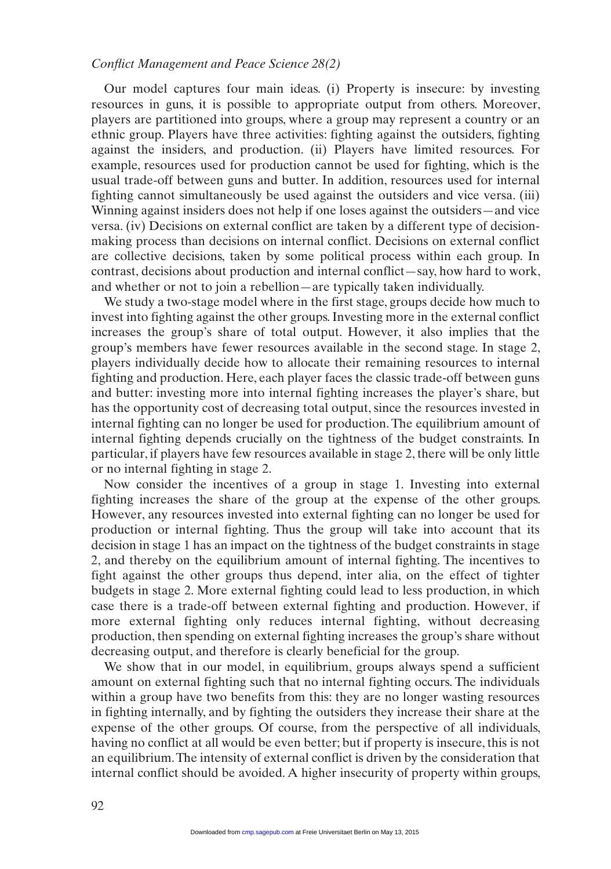Our model captures four main ideas. (i) Property is insecure: by investing resources in guns, it is possible to appropriate output from others. Moreover, players are partitioned into groups, where a group may represent a country or an ethnic group. Players have three activities: fighting against the outsiders, fighting against the insiders, and production. (ii) Players have limited resources. For example, resources used for production cannot be used for fighting, which is the usual trade-off between guns and butter. In addition, resources used for internal fighting cannot simultaneously be used against the outsiders and vice versa. (iii) Winning against insiders does not help if one loses against the outsiders—and vice versa. (iv) Decisions on external conflict are taken by a different type of decisionmaking process than decisions on internal conflict. Decisions on external conflict are collective decisions, taken by some political process within each group. In contrast, decisions about production and internal conflict—say, how hard to work, and whether or not to join a rebellion—are typically taken individually.

We study a two-stage model where in the first stage, groups decide how much to invest into fighting against the other groups. Investing more in the external conflict increases the group's share of total output. However, it also implies that the group's members have fewer resources available in the second stage. In stage 2, players individually decide how to allocate their remaining resources to internal fighting and production. Here, each player faces the classic trade-off between guns and butter: investing more into internal fighting increases the player's share, but has the opportunity cost of decreasing total output, since the resources invested in internal fighting can no longer be used for production. The equilibrium amount of internal fighting depends crucially on the tightness of the budget constraints. In particular, if players have few resources available in stage 2, there will be only little or no internal fighting in stage 2.

Now consider the incentives of a group in stage 1. Investing into external fighting increases the share of the group at the expense of the other groups. However, any resources invested into external fighting can no longer be used for production or internal fighting. Thus the group will take into account that its decision in stage 1 has an impact on the tightness of the budget constraints in stage 2, and thereby on the equilibrium amount of internal fighting. The incentives to fight against the other groups thus depend, inter alia, on the effect of tighter budgets in stage 2. More external fighting could lead to less production, in which case there is a trade-off between external fighting and production. However, if more external fighting only reduces internal fighting, without decreasing production, then spending on external fighting increases the group's share without decreasing output, and therefore is clearly beneficial for the group.

We show that in our model, in equilibrium, groups always spend a sufficient amount on external fighting such that no internal fighting occurs. The individuals within a group have two benefits from this: they are no longer wasting resources in fighting internally, and by fighting the outsiders they increase their share at the expense of the other groups. Of course, from the perspective of all individuals, having no conflict at all would be even better; but if property is insecure, this is not an equilibrium. The intensity of external conflict is driven by the consideration that internal conflict should be avoided. A higher insecurity of property within groups,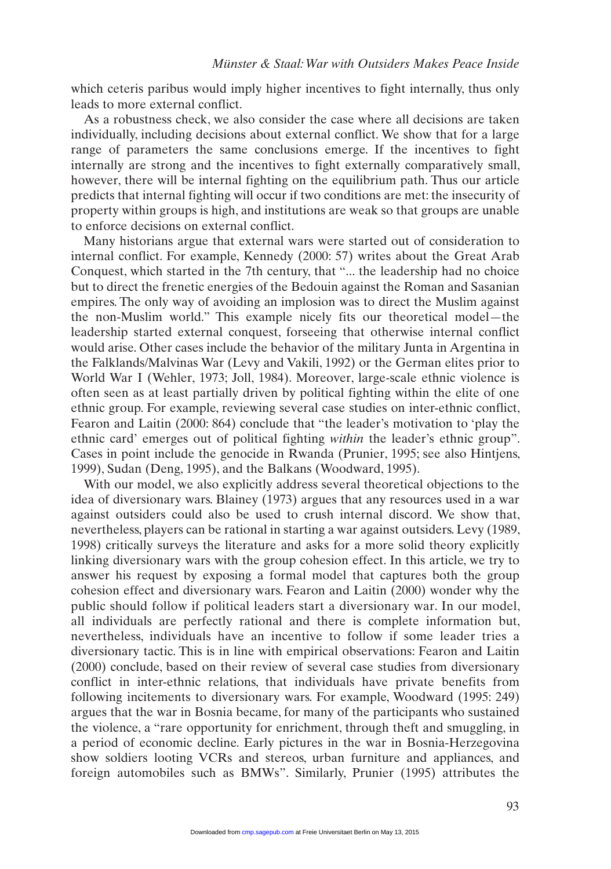which ceteris paribus would imply higher incentives to fight internally, thus only leads to more external conflict.

As a robustness check, we also consider the case where all decisions are taken individually, including decisions about external conflict. We show that for a large range of parameters the same conclusions emerge. If the incentives to fight internally are strong and the incentives to fight externally comparatively small, however, there will be internal fighting on the equilibrium path. Thus our article predicts that internal fighting will occur if two conditions are met: the insecurity of property within groups is high, and institutions are weak so that groups are unable to enforce decisions on external conflict.

Many historians argue that external wars were started out of consideration to internal conflict. For example, Kennedy (2000: 57) writes about the Great Arab Conquest, which started in the 7th century, that "... the leadership had no choice but to direct the frenetic energies of the Bedouin against the Roman and Sasanian empires. The only way of avoiding an implosion was to direct the Muslim against the non-Muslim world." This example nicely fits our theoretical model—the leadership started external conquest, forseeing that otherwise internal conflict would arise. Other cases include the behavior of the military Junta in Argentina in the Falklands/Malvinas War (Levy and Vakili, 1992) or the German elites prior to World War I (Wehler, 1973; Joll, 1984). Moreover, large-scale ethnic violence is often seen as at least partially driven by political fighting within the elite of one ethnic group. For example, reviewing several case studies on inter-ethnic conflict, Fearon and Laitin (2000: 864) conclude that "the leader's motivation to 'play the ethnic card' emerges out of political fighting *within* the leader's ethnic group". Cases in point include the genocide in Rwanda (Prunier, 1995; see also Hintjens, 1999), Sudan (Deng, 1995), and the Balkans (Woodward, 1995).

With our model, we also explicitly address several theoretical objections to the idea of diversionary wars. Blainey (1973) argues that any resources used in a war against outsiders could also be used to crush internal discord. We show that, nevertheless, players can be rational in starting a war against outsiders. Levy (1989, 1998) critically surveys the literature and asks for a more solid theory explicitly linking diversionary wars with the group cohesion effect. In this article, we try to answer his request by exposing a formal model that captures both the group cohesion effect and diversionary wars. Fearon and Laitin (2000) wonder why the public should follow if political leaders start a diversionary war. In our model, all individuals are perfectly rational and there is complete information but, nevertheless, individuals have an incentive to follow if some leader tries a diversionary tactic. This is in line with empirical observations: Fearon and Laitin (2000) conclude, based on their review of several case studies from diversionary conflict in inter-ethnic relations, that individuals have private benefits from following incitements to diversionary wars. For example, Woodward (1995: 249) argues that the war in Bosnia became, for many of the participants who sustained the violence, a "rare opportunity for enrichment, through theft and smuggling, in a period of economic decline. Early pictures in the war in Bosnia-Herzegovina show soldiers looting VCRs and stereos, urban furniture and appliances, and foreign automobiles such as BMWs". Similarly, Prunier (1995) attributes the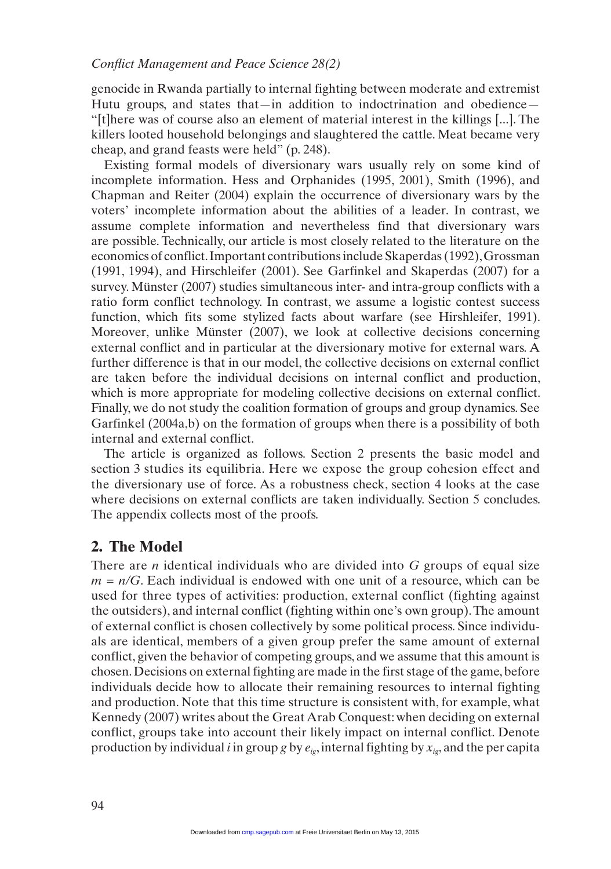genocide in Rwanda partially to internal fighting between moderate and extremist Hutu groups, and states that—in addition to indoctrination and obedience— "[t]here was of course also an element of material interest in the killings [...]. The killers looted household belongings and slaughtered the cattle. Meat became very cheap, and grand feasts were held" (p. 248).

Existing formal models of diversionary wars usually rely on some kind of incomplete information. Hess and Orphanides (1995, 2001), Smith (1996), and Chapman and Reiter (2004) explain the occurrence of diversionary wars by the voters' incomplete information about the abilities of a leader. In contrast, we assume complete information and nevertheless find that diversionary wars are possible. Technically, our article is most closely related to the literature on the economics of conflict. Important contributions include Skaperdas (1992), Grossman (1991, 1994), and Hirschleifer (2001). See Garfinkel and Skaperdas (2007) for a survey. Münster (2007) studies simultaneous inter- and intra-group conflicts with a ratio form conflict technology. In contrast, we assume a logistic contest success function, which fits some stylized facts about warfare (see Hirshleifer, 1991). Moreover, unlike Münster (2007), we look at collective decisions concerning external conflict and in particular at the diversionary motive for external wars. A further difference is that in our model, the collective decisions on external conflict are taken before the individual decisions on internal conflict and production, which is more appropriate for modeling collective decisions on external conflict. Finally, we do not study the coalition formation of groups and group dynamics. See Garfinkel (2004a,b) on the formation of groups when there is a possibility of both internal and external conflict.

The article is organized as follows. Section 2 presents the basic model and section 3 studies its equilibria. Here we expose the group cohesion effect and the diversionary use of force. As a robustness check, section 4 looks at the case where decisions on external conflicts are taken individually. Section 5 concludes. The appendix collects most of the proofs.

# **2. The Model**

There are *n* identical individuals who are divided into *G* groups of equal size  $m = n/G$ . Each individual is endowed with one unit of a resource, which can be used for three types of activities: production, external conflict (fighting against the outsiders), and internal conflict (fighting within one's own group). The amount of external conflict is chosen collectively by some political process. Since individuals are identical, members of a given group prefer the same amount of external conflict, given the behavior of competing groups, and we assume that this amount is chosen. Decisions on external fighting are made in the first stage of the game, before individuals decide how to allocate their remaining resources to internal fighting and production. Note that this time structure is consistent with, for example, what Kennedy (2007) writes about the Great Arab Conquest: when deciding on external conflict, groups take into account their likely impact on internal conflict. Denote production by individual *i* in group *g* by  $e_{i}$ , internal fighting by  $x_{i}$ , and the per capita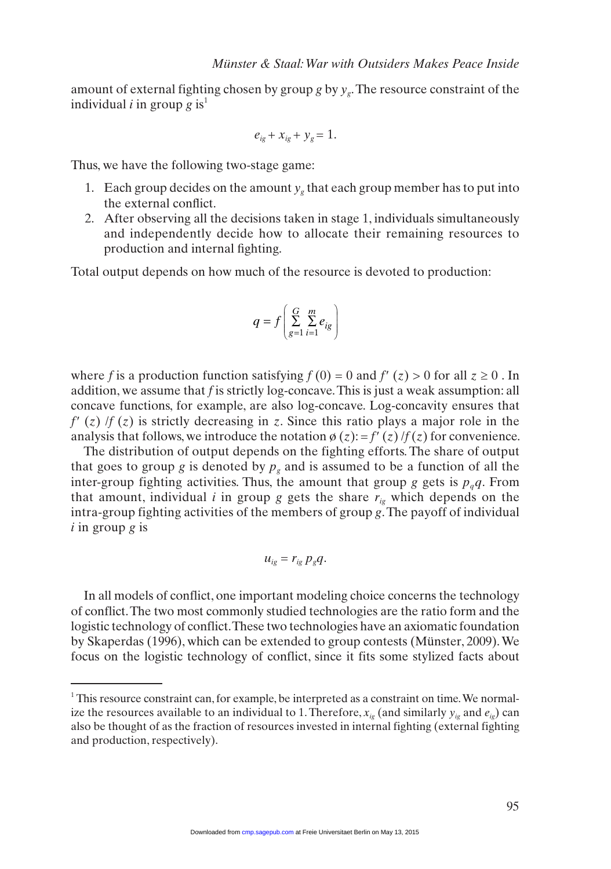amount of external fighting chosen by group  $g$  by  $y_g$ . The resource constraint of the individual *i* in group  $g$  is<sup>1</sup>

$$
e_{ig}+x_{ig}+y_g=1.
$$

Thus, we have the following two-stage game:

- 1. Each group decides on the amount  $y<sub>g</sub>$  that each group member has to put into the external conflict.
- 2. After observing all the decisions taken in stage 1, individuals simultaneously and independently decide how to allocate their remaining resources to production and internal fighting.

Total output depends on how much of the resource is devoted to production:

$$
q = f\left(\sum_{g=1}^{G} \sum_{i=1}^{m} e_{ig}\right)
$$

where *f* is a production function satisfying  $f(0) = 0$  and  $f'(z) > 0$  for all  $z \ge 0$ . In addition, we assume that *f* is strictly log-concave. This is just a weak assumption: all concave functions, for example, are also log-concave. Log-concavity ensures that  $f'(z)$  /*f* (*z*) is strictly decreasing in *z*. Since this ratio plays a major role in the analysis that follows, we introduce the notation  $\phi(z) = f'(z)/f(z)$  for convenience.

The distribution of output depends on the fighting efforts. The share of output that goes to group *g* is denoted by  $p<sub>g</sub>$  and is assumed to be a function of all the inter-group fighting activities. Thus, the amount that group *g* gets is  $p_qq$ . From that amount, individual  $i$  in group  $g$  gets the share  $r_{ig}$  which depends on the intra-group fighting activities of the members of group *g*. The payoff of individual *i* in group *g* is

$$
u_{ig}=r_{ig}p_gq.
$$

In all models of conflict, one important modeling choice concerns the technology of conflict. The two most commonly studied technologies are the ratio form and the logistic technology of conflict. These two technologies have an axiomatic foundation by Skaperdas (1996), which can be extended to group contests (Münster, 2009). We focus on the logistic technology of conflict, since it fits some stylized facts about

 $1$ <sup>1</sup> This resource constraint can, for example, be interpreted as a constraint on time. We normalize the resources available to an individual to 1. Therefore,  $x_{i}$  (and similarly  $y_{i}$  and  $e_{i}$ ) can also be thought of as the fraction of resources invested in internal fighting (external fighting and production, respectively).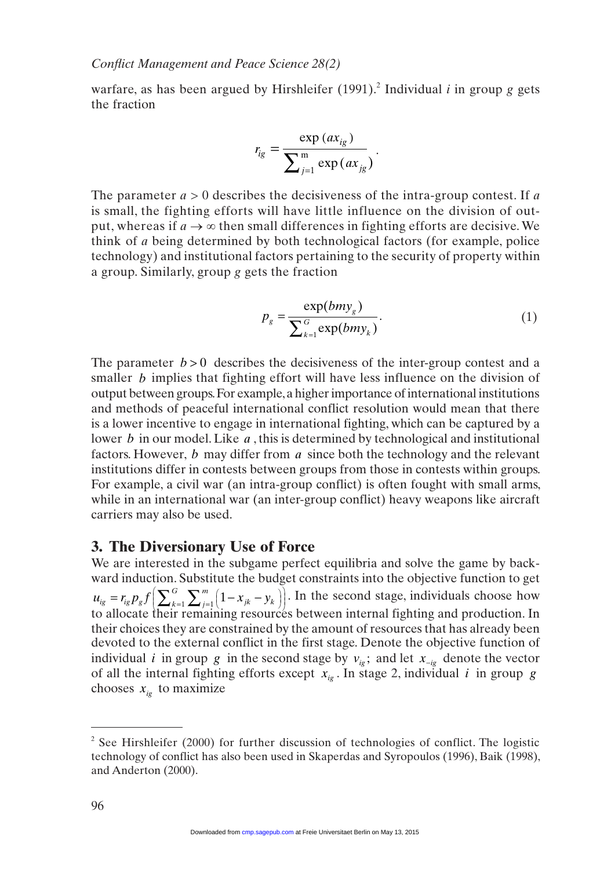warfare, as has been argued by Hirshleifer  $(1991)$ .<sup>2</sup> Individual *i* in group *g* gets the fraction

$$
r_{ig} = \frac{\exp (ax_{ig})}{\sum_{j=1}^{m} \exp (ax_{ig})}
$$

The parameter  $a > 0$  describes the decisiveness of the intra-group contest. If a is small, the fighting efforts will have little influence on the division of output, whereas if  $a \rightarrow \infty$  then small differences in fighting efforts are decisive. We think of *a* being determined by both technological factors (for example, police technology) and institutional factors pertaining to the security of property within a group. Similarly, group *g* gets the fraction

$$
p_g = \frac{\exp(bmy_g)}{\sum_{k=1}^{G} \exp(bmy_k)}.
$$
\n(1)

.

The parameter  $b > 0$  describes the decisiveness of the inter-group contest and a smaller *b* implies that fighting effort will have less influence on the division of output between groups. For example, a higher importance of international institutions and methods of peaceful international conflict resolution would mean that there is a lower incentive to engage in international fighting, which can be captured by a lower *b* in our model. Like *a* , this is determined by technological and institutional factors. However, *b* may differ from *a* since both the technology and the relevant institutions differ in contests between groups from those in contests within groups. For example, a civil war (an intra-group conflict) is often fought with small arms, while in an international war (an inter-group conflict) heavy weapons like aircraft carriers may also be used.

# **3. The Diversionary Use of Force**

We are interested in the subgame perfect equilibria and solve the game by backward induction. Substitute the budget constraints into the objective function to get  $u_{ig} = r_{ig} p_g f \left( \sum_{k=1}^{G} \sum_{j=1}^{m} \left( 1 - x_{jk} - y_{jk} \right) \right)$ *j*  $=r_{ig}p_g f\left(\sum_{k=1}^G\sum_{j=1}^m\left(1-x_{jk}-y_k\right)\right)$  $\Big( \sum_{k=1}^G \sum_{j=1}^m \Big( 1 - x_{jk} - y_k \Big)$ l ľ  $\sum_{k=1}^{G} \sum_{j=1}^{m} (1 - x_{jk} - y_k)$ . In the second stage, individuals choose how to allocate their remaining resources between internal fighting and production. In their choices they are constrained by the amount of resources that has already been devoted to the external conflict in the first stage. Denote the objective function of individual *i* in group *g* in the second stage by  $v_{i}$ ; and let  $x_{-i}$  denote the vector of all the internal fighting efforts except  $\overline{x}_{i_0}$ . In stage 2, individual *i* in group *g* chooses  $x_{iq}$  to maximize

<sup>&</sup>lt;sup>2</sup> See Hirshleifer (2000) for further discussion of technologies of conflict. The logistic technology of conflict has also been used in Skaperdas and Syropoulos (1996), Baik (1998), and Anderton (2000).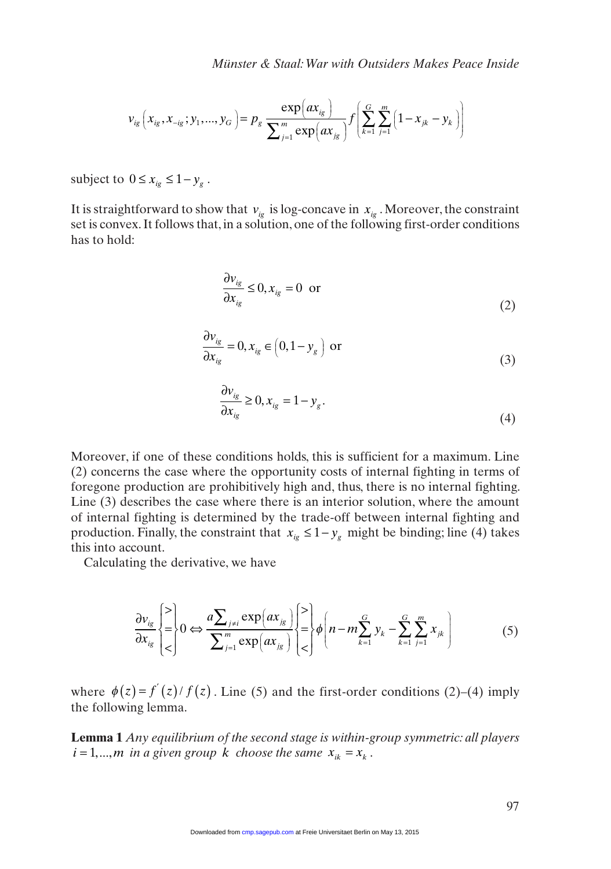$$
v_{ig}(x_{ig}, x_{-ig}; y_1, ..., y_G) = p_g \frac{\exp(ax_{ig})}{\sum_{j=1}^m \exp(ax_{jg})} f\left(\sum_{k=1}^G \sum_{j=1}^m (1 - x_{jk} - y_k)\right)
$$

subject to  $0 \le x_{i\varrho} \le 1 - y_{\varrho}$ .

It is straightforward to show that  $v_{i}$  is log-concave in  $x_{i}$ . Moreover, the constraint set is convex. It follows that, in a solution, one of the following first-order conditions has to hold:

$$
\frac{\partial v_{ig}}{\partial x_{ig}} \le 0, x_{ig} = 0 \text{ or } (2)
$$

$$
\frac{\partial v_{ig}}{\partial x_{ig}} = 0, x_{ig} \in \left(0, 1 - y_g\right) \text{ or } \tag{3}
$$

$$
\frac{\partial v_{ig}}{\partial x_{ig}} \ge 0, x_{ig} = 1 - y_g. \tag{4}
$$

Moreover, if one of these conditions holds, this is sufficient for a maximum. Line (2) concerns the case where the opportunity costs of internal fighting in terms of foregone production are prohibitively high and, thus, there is no internal fighting. Line (3) describes the case where there is an interior solution, where the amount of internal fighting is determined by the trade-off between internal fighting and production. Finally, the constraint that  $x_{i\varphi} \leq 1 - y_{\varphi}$  might be binding; line (4) takes this into account.

Calculating the derivative, we have

$$
\frac{\partial v_{ig}}{\partial x_{ig}}\left\{\geq\right\} 0 \Leftrightarrow \frac{a \sum_{j \neq i} \exp(ax_{jg})}{\sum_{j=1}^{m} \exp(ax_{jg})} \left\{\geq\right\} \phi\left(n - m \sum_{k=1}^{G} y_k - \sum_{k=1}^{G} \sum_{j=1}^{m} x_{jk}\right) \tag{5}
$$

where  $\phi(z) = f'(z)/f(z)$ . Line (5) and the first-order conditions (2)–(4) imply the following lemma.

**Lemma 1** *Any equilibrium of the second stage is within-group symmetric: all players*   $i = 1, \dots, m$  *in a given group k choose the same*  $x_{ik} = x_k$ .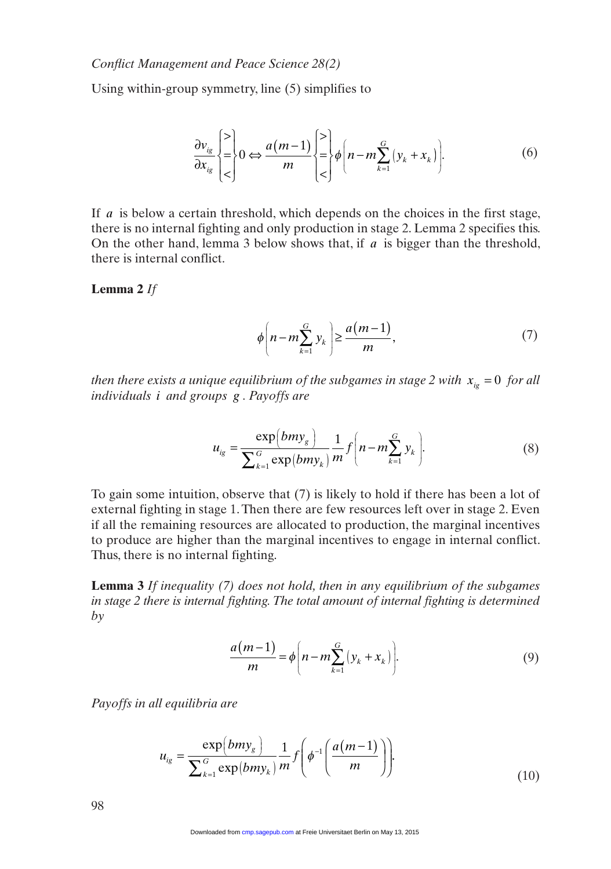Using within-group symmetry, line (5) simplifies to

$$
\frac{\partial v_{ig}}{\partial x_{ig}}\begin{cases} \geq\\ \leq\\ \leq \end{cases} 0 \Leftrightarrow \frac{a(m-1)}{m} \begin{cases} \geq\\ \geq\\ \leq\\ \end{cases} \phi\left(n - m \sum_{k=1}^{G} (y_k + x_k)\right). \tag{6}
$$

If *a* is below a certain threshold, which depends on the choices in the first stage, there is no internal fighting and only production in stage 2. Lemma 2 specifies this. On the other hand, lemma 3 below shows that, if *a* is bigger than the threshold, there is internal conflict.

#### **Lemma 2** *If*

$$
\phi\left(n-m\sum_{k=1}^{G}y_{k}\right) \ge \frac{a(m-1)}{m},\tag{7}
$$

*then there exists a unique equilibrium of the subgames in stage 2 with*  $x_{i} = 0$  *for all individuals i and groups g . Payoffs are* 

$$
u_{ig} = \frac{\exp(bmy_g)}{\sum_{k=1}^{G} \exp(bmy_k)} \frac{1}{m} f\left(n - m \sum_{k=1}^{G} y_k\right).
$$
 (8)

To gain some intuition, observe that (7) is likely to hold if there has been a lot of external fighting in stage 1. Then there are few resources left over in stage 2. Even if all the remaining resources are allocated to production, the marginal incentives to produce are higher than the marginal incentives to engage in internal conflict. Thus, there is no internal fighting.

**Lemma 3** *If inequality (7) does not hold, then in any equilibrium of the subgames in stage 2 there is internal fighting. The total amount of internal fighting is determined by* 

$$
\frac{a(m-1)}{m} = \phi \bigg( n - m \sum_{k=1}^{G} \left( y_k + x_k \right) \bigg). \tag{9}
$$

*Payoffs in all equilibria are* 

$$
u_{ig} = \frac{\exp(bmy_g)}{\sum_{k=1}^{G} \exp(bmy_k)} \frac{1}{m} f\left(\phi^{-1}\left(\frac{a(m-1)}{m}\right)\right).
$$
 (10)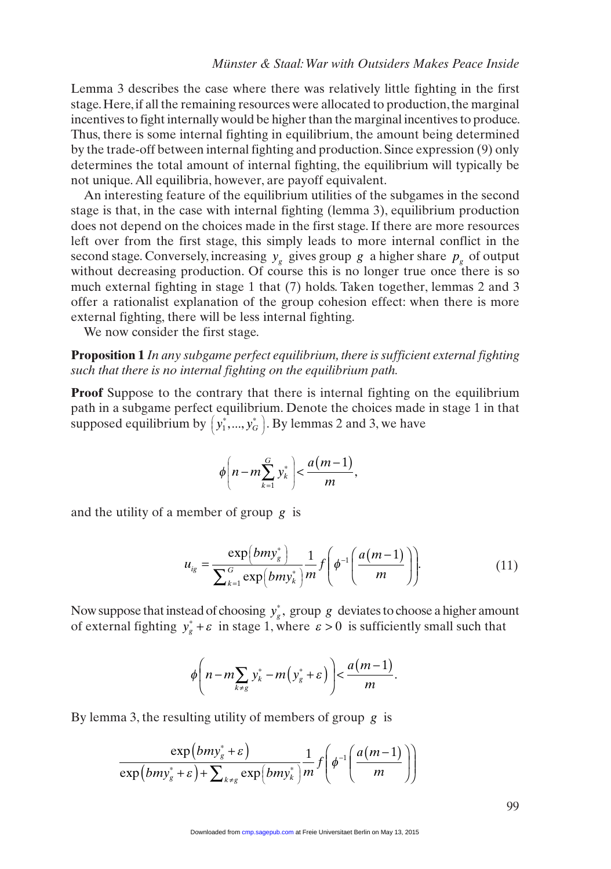Lemma 3 describes the case where there was relatively little fighting in the first stage. Here, if all the remaining resources were allocated to production, the marginal incentives to fight internally would be higher than the marginal incentives to produce. Thus, there is some internal fighting in equilibrium, the amount being determined by the trade-off between internal fighting and production. Since expression (9) only determines the total amount of internal fighting, the equilibrium will typically be not unique. All equilibria, however, are payoff equivalent.

An interesting feature of the equilibrium utilities of the subgames in the second stage is that, in the case with internal fighting (lemma 3), equilibrium production does not depend on the choices made in the first stage. If there are more resources left over from the first stage, this simply leads to more internal conflict in the second stage. Conversely, increasing  $y_g$  gives group *g* a higher share  $p_g$  of output without decreasing production. Of course this is no longer true once there is so much external fighting in stage 1 that (7) holds. Taken together, lemmas 2 and 3 offer a rationalist explanation of the group cohesion effect: when there is more external fighting, there will be less internal fighting.

We now consider the first stage.

**Proposition 1** *In any subgame perfect equilibrium, there is sufficient external fighting such that there is no internal fighting on the equilibrium path.*

**Proof** Suppose to the contrary that there is internal fighting on the equilibrium path in a subgame perfect equilibrium. Denote the choices made in stage 1 in that supposed equilibrium by  $\left(y_1^*,...,y_d^*\right)$  $\left(y_1^*,..., y_G^*\right)$ . By lemmas 2 and 3, we have

$$
\phi\left(n-m\sum_{k=1}^G y_k^*\right) < \frac{a(m-1)}{m},
$$

and the utility of a member of group *g* is

$$
u_{ig} = \frac{\exp(bmy_g^*)}{\sum_{k=1}^G \exp(bmy_k^*)} \frac{1}{m} f\left(\phi^{-1}\left(\frac{a(m-1)}{m}\right)\right).
$$
 (11)

Now suppose that instead of choosing  $y_g^*$ , group *g* deviates to choose a higher amount of external fighting  $y_s^* + \varepsilon$  in stage 1, where  $\varepsilon > 0$  is sufficiently small such that

$$
\phi\left(n-m\sum_{k\neq g}y_k^*-m\left(y_g^*+\varepsilon\right)\right)<\frac{a(m-1)}{m}.
$$

By lemma 3, the resulting utility of members of group *g* is

$$
\frac{\exp(bmy_s^* + \varepsilon)}{\exp(bmy_s^* + \varepsilon) + \sum_{k \neq g} \exp(bmy_k^*)} \frac{1}{m} f\left(\phi^{-1}\left(\frac{a(m-1)}{m}\right)\right)
$$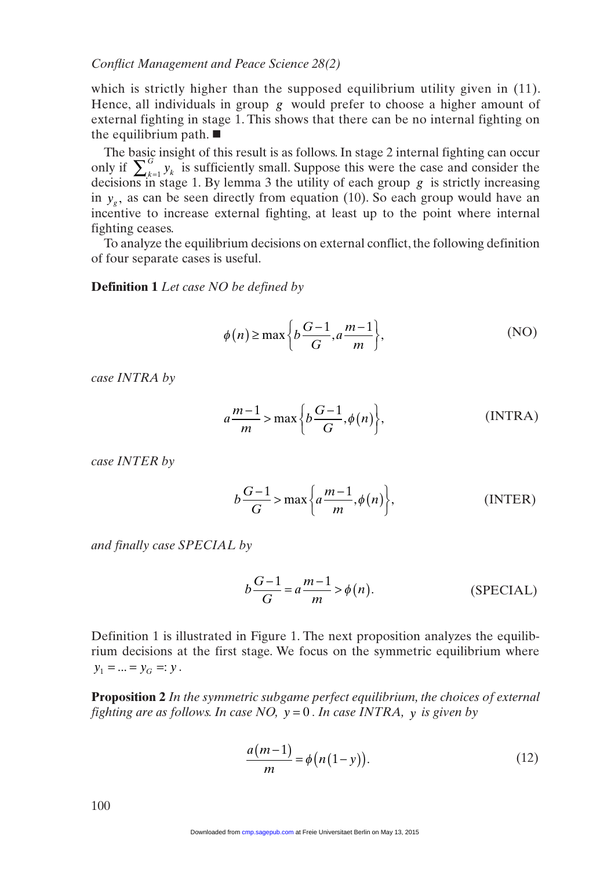which is strictly higher than the supposed equilibrium utility given in (11). Hence, all individuals in group *g* would prefer to choose a higher amount of external fighting in stage 1. This shows that there can be no internal fighting on the equilibrium path.  $\blacksquare$ 

The basic insight of this result is as follows. In stage 2 internal fighting can occur only if  $\sum_{k=1}^{G} y_k$  is sufficiently small. Suppose this were the case and consider the decisions in stage 1. By lemma 3 the utility of each group *g* is strictly increasing in  $y<sub>a</sub>$ , as can be seen directly from equation (10). So each group would have an incentive to increase external fighting, at least up to the point where internal fighting ceases.

To analyze the equilibrium decisions on external conflict, the following definition of four separate cases is useful.

**Definition 1** *Let case NO be defined by*

$$
\phi(n) \ge \max\left\{b\frac{G-1}{G}, a\frac{m-1}{m}\right\},\tag{NO}
$$

*case INTRA by* 

$$
a\frac{m-1}{m} > \max\left\{b\frac{G-1}{G}, \phi(n)\right\},\tag{INTRA}
$$

*case INTER by* 

$$
b\frac{G-1}{G} > \max\left\{a\frac{m-1}{m}, \phi(n)\right\},\tag{INTER}
$$

*and finally case SPECIAL by*

$$
b\frac{G-1}{G} = a\frac{m-1}{m} > \phi(n).
$$
 (SPECIAL)

Definition 1 is illustrated in Figure 1. The next proposition analyzes the equilibrium decisions at the first stage. We focus on the symmetric equilibrium where  $y_1 = ... = y_G =: y$ .

**Proposition 2** *In the symmetric subgame perfect equilibrium, the choices of external fighting are as follows. In case NO, y* = 0 *. In case INTRA, y is given by* 

$$
\frac{a(m-1)}{m} = \phi\big(n(1-y)\big). \tag{12}
$$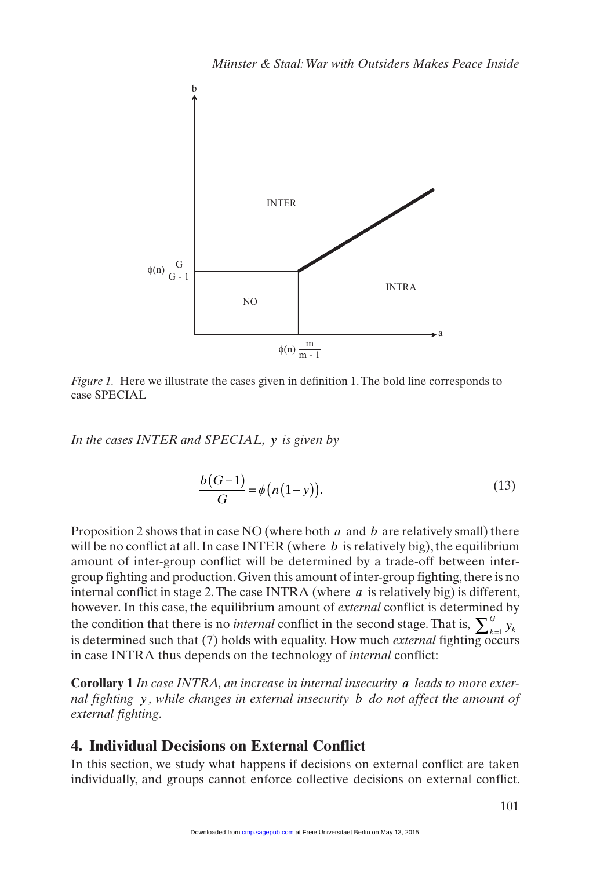

*Figure 1.* Here we illustrate the cases given in definition 1. The bold line corresponds to case SPECIAL

*In the cases INTER and SPECIAL, y is given by* 

$$
\frac{b(G-1)}{G} = \phi\big(n(1-y)\big). \tag{13}
$$

Proposition 2 shows that in case NO (where both *a* and *b* are relatively small) there will be no conflict at all. In case **INTER** (where *b* is relatively big), the equilibrium amount of inter-group conflict will be determined by a trade-off between intergroup fighting and production. Given this amount of inter-group fighting, there is no internal conflict in stage 2. The case INTRA (where *a* is relatively big) is different, however. In this case, the equilibrium amount of *external* conflict is determined by the condition that there is no *internal* conflict in the second stage. That is,  $\sum_{k=1}^{G} y_k$ is determined such that (7) holds with equality. How much *external* fighting occurs in case INTRA thus depends on the technology of *internal* conflict:

**Corollary 1** *In case INTRA, an increase in internal insecurity a leads to more external fighting y , while changes in external insecurity b do not affect the amount of external fighting*.

## **4. Individual Decisions on External Conflict**

In this section, we study what happens if decisions on external conflict are taken individually, and groups cannot enforce collective decisions on external conflict.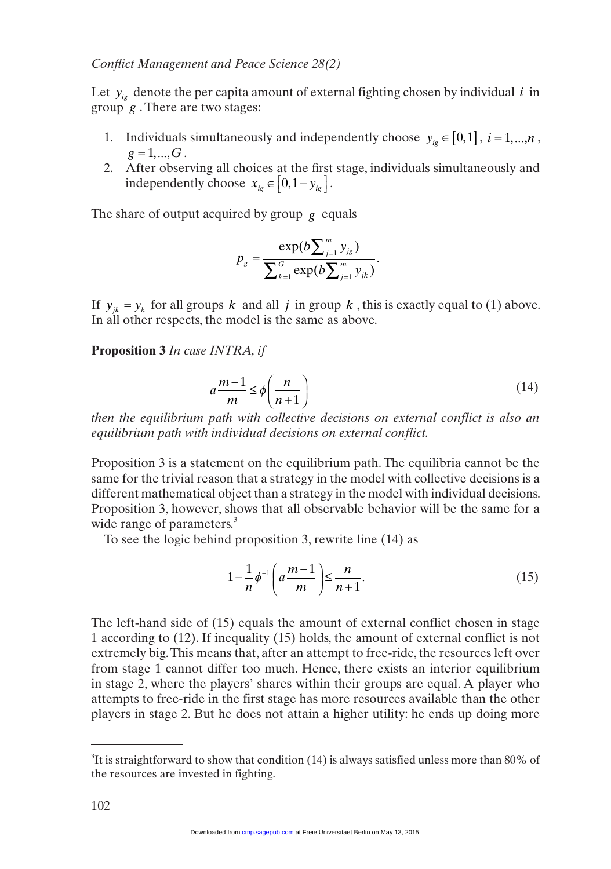Let  $y_{ie}$  denote the per capita amount of external fighting chosen by individual  $i$  in group *g* . There are two stages:

- 1. Individuals simultaneously and independently choose  $y_{i\varphi} \in [0,1]$ ,  $i = 1,...,n$ ,  $g = 1, ..., G$ .
- 2. After observing all choices at the first stage, individuals simultaneously and independently choose  $x_{i g} \in \left[0, 1 - y_{i g}\right]$  $\left[0,1-y_{ig}\right]$ .

The share of output acquired by group  $g$  equals

$$
p_{g} = \frac{\exp(b\sum_{j=1}^{m} y_{jg})}{\sum_{k=1}^{G} \exp(b\sum_{j=1}^{m} y_{jk})}.
$$

If  $y_{ik} = y_k$  for all groups *k* and all *j* in group *k*, this is exactly equal to (1) above. In all other respects, the model is the same as above.

**Proposition 3** *In case INTRA, if* 

$$
a\frac{m-1}{m} \le \phi\left(\frac{n}{n+1}\right) \tag{14}
$$

*then the equilibrium path with collective decisions on external conflict is also an equilibrium path with individual decisions on external conflict.* 

Proposition 3 is a statement on the equilibrium path. The equilibria cannot be the same for the trivial reason that a strategy in the model with collective decisions is a different mathematical object than a strategy in the model with individual decisions. Proposition 3, however, shows that all observable behavior will be the same for a wide range of parameters.<sup>3</sup>

To see the logic behind proposition 3, rewrite line (14) as

$$
1 - \frac{1}{n} \phi^{-1} \left( a \frac{m-1}{m} \right) \le \frac{n}{n+1}.
$$
 (15)

The left-hand side of (15) equals the amount of external conflict chosen in stage 1 according to (12). If inequality (15) holds, the amount of external conflict is not extremely big. This means that, after an attempt to free-ride, the resources left over from stage 1 cannot differ too much. Hence, there exists an interior equilibrium in stage 2, where the players' shares within their groups are equal. A player who attempts to free-ride in the first stage has more resources available than the other players in stage 2. But he does not attain a higher utility: he ends up doing more

<sup>&</sup>lt;sup>3</sup>It is straightforward to show that condition (14) is always satisfied unless more than 80% of the resources are invested in fighting.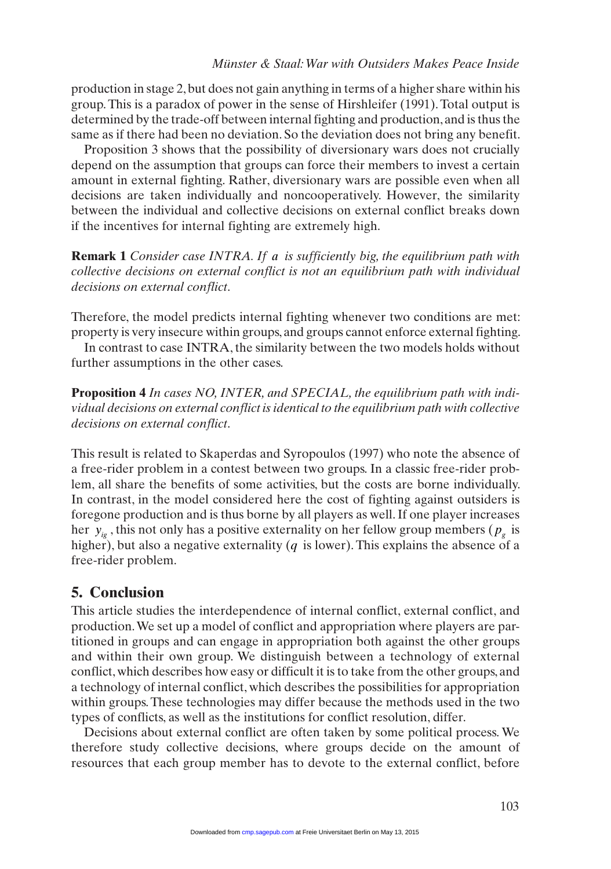production in stage 2, but does not gain anything in terms of a higher share within his group. This is a paradox of power in the sense of Hirshleifer (1991). Total output is determined by the trade-off between internal fighting and production, and is thus the same as if there had been no deviation. So the deviation does not bring any benefit.

Proposition 3 shows that the possibility of diversionary wars does not crucially depend on the assumption that groups can force their members to invest a certain amount in external fighting. Rather, diversionary wars are possible even when all decisions are taken individually and noncooperatively. However, the similarity between the individual and collective decisions on external conflict breaks down if the incentives for internal fighting are extremely high.

**Remark 1** *Consider case INTRA. If a is sufficiently big, the equilibrium path with collective decisions on external conflict is not an equilibrium path with individual decisions on external conflict*.

Therefore, the model predicts internal fighting whenever two conditions are met: property is very insecure within groups, and groups cannot enforce external fighting.

In contrast to case INTRA, the similarity between the two models holds without further assumptions in the other cases.

**Proposition 4** *In cases NO, INTER, and SPECIAL, the equilibrium path with individual decisions on external conflict is identical to the equilibrium path with collective decisions on external conflict*.

This result is related to Skaperdas and Syropoulos (1997) who note the absence of a free-rider problem in a contest between two groups. In a classic free-rider problem, all share the benefits of some activities, but the costs are borne individually. In contrast, in the model considered here the cost of fighting against outsiders is foregone production and is thus borne by all players as well. If one player increases her  $y_{ig}$ , this not only has a positive externality on her fellow group members ( $p_g$  is higher), but also a negative externality (*q* is lower). This explains the absence of a free-rider problem.

## **5. Conclusion**

This article studies the interdependence of internal conflict, external conflict, and production. We set up a model of conflict and appropriation where players are partitioned in groups and can engage in appropriation both against the other groups and within their own group. We distinguish between a technology of external conflict, which describes how easy or difficult it is to take from the other groups, and a technology of internal conflict, which describes the possibilities for appropriation within groups. These technologies may differ because the methods used in the two types of conflicts, as well as the institutions for conflict resolution, differ.

Decisions about external conflict are often taken by some political process. We therefore study collective decisions, where groups decide on the amount of resources that each group member has to devote to the external conflict, before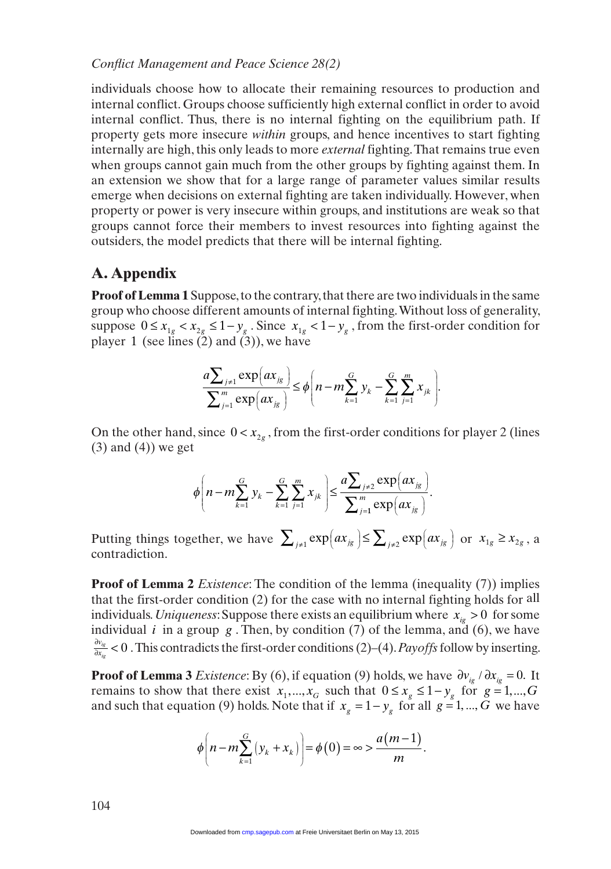individuals choose how to allocate their remaining resources to production and internal conflict. Groups choose sufficiently high external conflict in order to avoid internal conflict. Thus, there is no internal fighting on the equilibrium path. If property gets more insecure *within* groups, and hence incentives to start fighting internally are high, this only leads to more *external* fighting. That remains true even when groups cannot gain much from the other groups by fighting against them. In an extension we show that for a large range of parameter values similar results emerge when decisions on external fighting are taken individually. However, when property or power is very insecure within groups, and institutions are weak so that groups cannot force their members to invest resources into fighting against the outsiders, the model predicts that there will be internal fighting.

# **A. Appendix**

**Proof of Lemma 1** Suppose, to the contrary, that there are two individuals in the same group who choose different amounts of internal fighting. Without loss of generality, suppose  $0 \le x_{1g} \le x_{2g} \le 1 - y_g$ . Since  $x_{1g} \le 1 - y_g$ , from the first-order condition for player 1 (see lines  $(2)$  and  $(3)$ ), we have

$$
\frac{a\sum_{j\neq 1} \exp(ax_{jg})}{\sum_{j=1}^m \exp(ax_{jg})} \leq \phi \left( n - m \sum_{k=1}^G y_k - \sum_{k=1}^G \sum_{j=1}^m x_{jk} \right).
$$

On the other hand, since  $0 < x_{2g}$ , from the first-order conditions for player 2 (lines  $(3)$  and  $(4)$ ) we get

$$
\phi\left(n - m\sum_{k=1}^{G} y_k - \sum_{k=1}^{G} \sum_{j=1}^{m} x_{jk}\right) \leq \frac{a \sum_{j\neq 2} \exp\left(ax_{jg}\right)}{\sum_{j=1}^{m} \exp\left(ax_{jg}\right)}.
$$

Putting things together, we have  $\sum_{j\neq 1} \exp(ax_{jg}) \leq \sum_{j\neq 2} \exp(ax_{jg})$  $\left(ax_{jg}\right) \leq \sum_{j\neq 2} \exp\left(1\right)$  $\sum_{j\neq 1} \exp(ax_{jg}) \leq \sum_{j\neq 2} \exp(ax_{jg})$  or  $x_{1g} \geq x_{2g}$ , a contradiction.

**Proof of Lemma 2** *Existence*: The condition of the lemma (inequality (7)) implies that the first-order condition (2) for the case with no internal fighting holds for all individuals. *Uniqueness*: Suppose there exists an equilibrium where  $x_{iq} > 0$  for some individual *i* in a group *g*. Then, by condition  $(7)$  of the lemma, and  $(6)$ , we have  $rac{\partial v_{ig}}{\partial x_{io}}$  < *ig* 0 . This contradicts the first-order conditions (2)–(4). *Payoffs* follow by inserting.

**Proof of Lemma 3** *Existence*: By (6), if equation (9) holds, we have  $\partial v_{i} / \partial x_{i} = 0$ . It remains to show that there exist  $x_1, ..., x_G$  such that  $0 \le x_g \le 1 - y_g$  for  $g = 1, ..., G$ and such that equation (9) holds. Note that if  $x<sub>e</sub> = 1 - y<sub>e</sub>$  for all  $g = 1, ..., G$  we have

$$
\phi\bigg(n-m\sum_{k=1}^G\big(y_k+x_k\big)\bigg)=\phi(0)=\infty>\frac{a(m-1)}{m}.
$$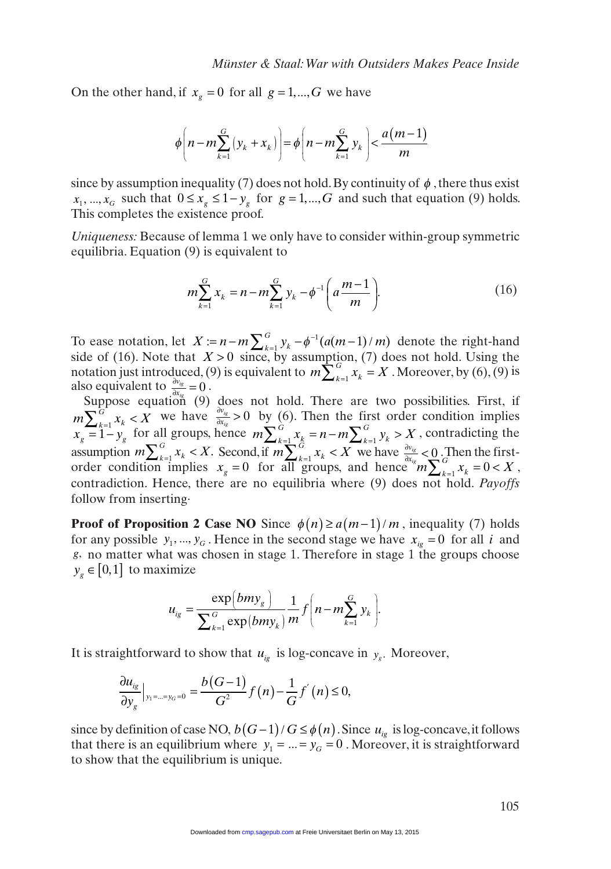On the other hand, if  $x_g = 0$  for all  $g = 1, ..., G$  we have

$$
\phi\left(n-m\sum_{k=1}^{G}\left(y_{k}+x_{k}\right)\right)=\phi\left(n-m\sum_{k=1}^{G}y_{k}\right)<\frac{a\left(m-1\right)}{m}
$$

since by assumption inequality (7) does not hold. By continuity of  $\phi$ , there thus exist  $x_1, ..., x_G$  such that  $0 \le x_g \le 1 - y_g$  for  $g = 1, ..., G$  and such that equation (9) holds. This completes the existence proof.

*Uniqueness:* Because of lemma 1 we only have to consider within-group symmetric equilibria. Equation (9) is equivalent to

$$
m\sum_{k=1}^{G} x_k = n - m\sum_{k=1}^{G} y_k - \phi^{-1} \left( a \frac{m-1}{m} \right). \tag{16}
$$

To ease notation, let  $X := n - m \sum_{k=1}^{G} y_k - \phi^{-1}(a(m-1)/m)$  denote the right-hand side of (16). Note that  $X > 0$  since, by assumption, (7) does not hold. Using the notation just introduced, (9) is equivalent to  $m \sum_{k=1}^{G} x_k = X$ . Moreover, by (6), (9) is also equivalent to  $\frac{\partial v_{ig}}{\partial x_{ie}} = 0$ .

Suppose equation (9) does not hold. There are two possibilities. First, if  $m\sum_{k=1}^{G} x_k < \overline{X}$  we have  $\frac{\partial v_{ig}}{\partial x_{ig}} >$  $\frac{f(x)}{f(x)}$  > 0 by (6). Then the first order condition implies  $x_g = 1 - y_g$  for all groups, hence  $m \sum_{k=1}^{G} x_k = n - m \sum_{k=1}^{G} y_k > X_g$  $\frac{k}{a}$   $\frac{m}{b}$ If groups, hence  $m \sum_{k=1}^{G} x_k = n - m \sum_{k=1}^{G} y_k > X$ , contradicting the assumption  $m \sum_{k=1}^{G} x_k < X$ . Second, if  $m \sum_{k=1}^{G} x_k < X$  we have  $\frac{\partial v_{i_k}}{\partial x_i} <$  $\frac{g}{\sqrt{G}}$   $\leq$  0. Then the firstorder condition implies  $x_g = 0$  for all groups, and hence  $\sum_{k=1}^{d x_{ig}} m \sum_{k=1}^{G} x_k = 0 < X$ , contradiction. Hence, there are no equilibria where (9) does not hold. *Payoffs* follow from inserting.

**Proof of Proposition 2 Case NO** Since  $\phi(n) \ge a(m-1)/m$ , inequality (7) holds for any possible  $y_1, ..., y_G$ . Hence in the second stage we have  $x_{i} = 0$  for all *i* and *g*, no matter what was chosen in stage 1. Therefore in stage 1 the groups choose  $y_g \in [0, 1]$  to maximize

$$
u_{ig} = \frac{\exp(bmy_g)}{\sum_{k=1}^{G} \exp(bmy_k)} \frac{1}{m} f\left(n - m \sum_{k=1}^{G} y_k\right).
$$

It is straightforward to show that  $u_{ig}$  is log-concave in  $y_g$ . Moreover,

$$
\frac{\partial u_{ig}}{\partial y_{g}}|_{y_{1}=\dots=y_{G}=0}=\frac{b(G-1)}{G^{2}}f(n)-\frac{1}{G}f^{'}(n)\leq 0,
$$

since by definition of case NO,  $b(G-1)/G \leq \phi(n)$ . Since  $u_{i}$  is log-concave, it follows that there is an equilibrium where  $y_1 = ... = y_G = 0$ . Moreover, it is straightforward to show that the equilibrium is unique.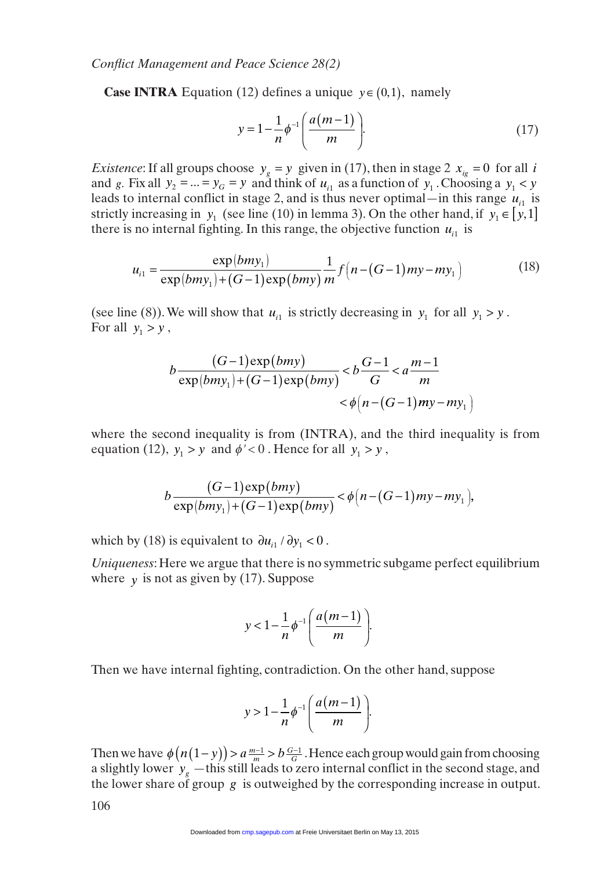**Case INTRA** Equation (12) defines a unique  $y \in (0, 1)$ , namely

$$
y = 1 - \frac{1}{n} \phi^{-1} \left( \frac{a(m-1)}{m} \right).
$$
 (17)

*Existence*: If all groups choose  $y_g = y$  given in (17), then in stage 2  $x_{ig} = 0$  for all *i* and *g*. Fix all  $y_2 = ... = y_G = y$  and think of  $u_{i1}$  as a function of  $y_1$ . Choosing a  $y_1 < y$ leads to internal conflict in stage 2, and is thus never optimal—in this range  $u_{i1}$  is strictly increasing in *y*<sub>1</sub> (see line (10) in lemma 3). On the other hand, if *y*<sub>1</sub> ∈  $[y,1]$ there is no internal fighting. In this range, the objective function  $u_{i1}$  is

$$
u_{i1} = \frac{\exp(bmy_1)}{\exp(bmy_1) + (G-1)\exp(bmy)} \frac{1}{m} f\left(n - (G-1)my - my_1\right)
$$
 (18)

(see line (8)). We will show that  $u_{i1}$  is strictly decreasing in  $y_1$  for all  $y_1 > y$ . For all  $y_1 > y$ ,

$$
b \frac{(G-1)\exp(bmy)}{\exp(bmy_1) + (G-1)\exp(bmy)} < b \frac{G-1}{G} < a \frac{m-1}{m} < \phi\left(n - (G-1)my - my_1\right)
$$

where the second inequality is from (INTRA), and the third inequality is from equation (12),  $y_1 > y$  and  $\phi' < 0$ . Hence for all  $y_1 > y$ ,

$$
b\frac{(G-1)\exp(bmy)}{\exp(bmy_1)+(G-1)\exp(bmy)} < \phi\big(n-(G-1)my-my_1\big),
$$

which by (18) is equivalent to  $\partial u_{i1} / \partial y_1 < 0$ .

*Uniqueness*: Here we argue that there is no symmetric subgame perfect equilibrium where  $y$  is not as given by (17). Suppose

$$
y<1-\frac{1}{n}\phi^{-1}\bigg(\frac{a(m-1)}{m}\bigg).
$$

Then we have internal fighting, contradiction. On the other hand, suppose

$$
y>1-\frac{1}{n}\phi^{-1}\left(\frac{a(m-1)}{m}\right).
$$

Then we have  $\phi(n(1-y)) > a \frac{m-1}{m} > b \frac{G-1}{G}$ . Hence each group would gain from choosing a slightly lower  $y_g$  —this still leads to zero internal conflict in the second stage, and the lower share of group *g* is outweighed by the corresponding increase in output.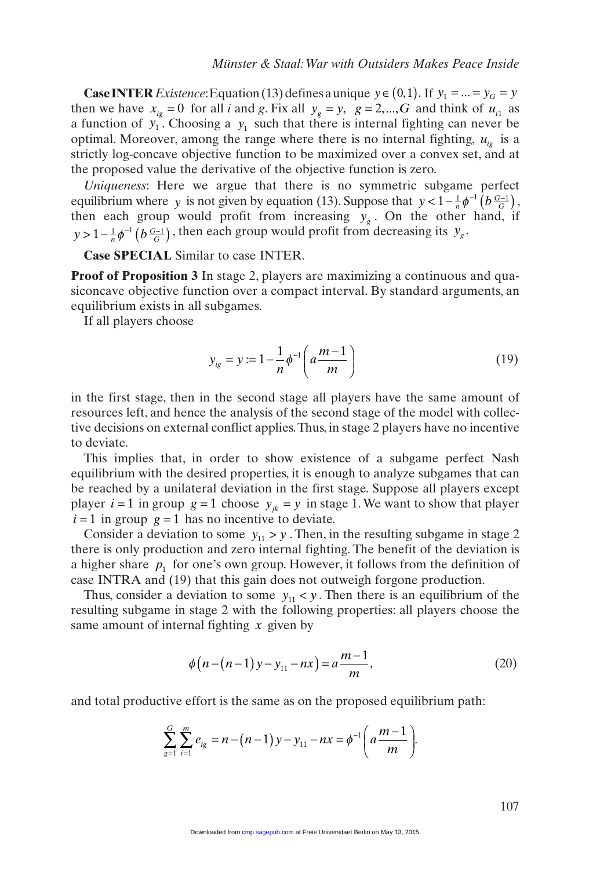**Case INTER** *Existence*: Equation (13) defines a unique  $y \in (0,1)$ . If  $y_1 = ... = y_G = y$ then we have  $x_{i_g} = 0$  for all *i* and *g*. Fix all  $y_g = y$ ,  $g = 2, ..., G$  and think of  $u_{i_1}$  as a function of  $y_1^{\prime}$ . Choosing a  $y_1$  such that there is internal fighting can never be optimal. Moreover, among the range where there is no internal fighting,  $u_{ie}$  is a strictly log-concave objective function to be maximized over a convex set, and at the proposed value the derivative of the objective function is zero.

*Uniqueness*: Here we argue that there is no symmetric subgame perfect equilibrium where *y* is not given by equation (13). Suppose that  $y < 1 - \frac{1}{n} \phi^{-1} \left( b \frac{G-1}{G} \right)$ , then each group would profit from increasing  $y_g$ . On the other hand, if  $y > 1 - \frac{1}{n} \phi^{-1} \left( b \frac{G-1}{G} \right)$ , then each group would profit from decreasing its  $y_g$ .

**Case SPECIAL** Similar to case INTER.

**Proof of Proposition 3** In stage 2, players are maximizing a continuous and quasiconcave objective function over a compact interval. By standard arguments, an equilibrium exists in all subgames.

If all players choose

$$
y_{ig} = y := 1 - \frac{1}{n} \phi^{-1} \left( a \frac{m-1}{m} \right)
$$
 (19)

in the first stage, then in the second stage all players have the same amount of resources left, and hence the analysis of the second stage of the model with collective decisions on external conflict applies. Thus, in stage 2 players have no incentive to deviate.

This implies that, in order to show existence of a subgame perfect Nash equilibrium with the desired properties, it is enough to analyze subgames that can be reached by a unilateral deviation in the first stage. Suppose all players except player  $i = 1$  in group  $g = 1$  choose  $y_{ik} = y$  in stage 1. We want to show that player  $i = 1$  in group  $g = 1$  has no incentive to deviate.

Consider a deviation to some  $y_{11} > y$ . Then, in the resulting subgame in stage 2 there is only production and zero internal fighting. The benefit of the deviation is a higher share  $p_1$  for one's own group. However, it follows from the definition of case INTRA and (19) that this gain does not outweigh forgone production.

Thus, consider a deviation to some  $y_{11} < y$ . Then there is an equilibrium of the resulting subgame in stage 2 with the following properties: all players choose the same amount of internal fighting *x* given by

$$
\phi(n-(n-1)y - y_{11} - nx) = a\frac{m-1}{m},\tag{20}
$$

and total productive effort is the same as on the proposed equilibrium path:

$$
\sum_{g=1}^{G} \sum_{i=1}^{m} e_{ig} = n - (n-1) y - y_{11} - nx = \phi^{-1} \left( a \frac{m-1}{m} \right).
$$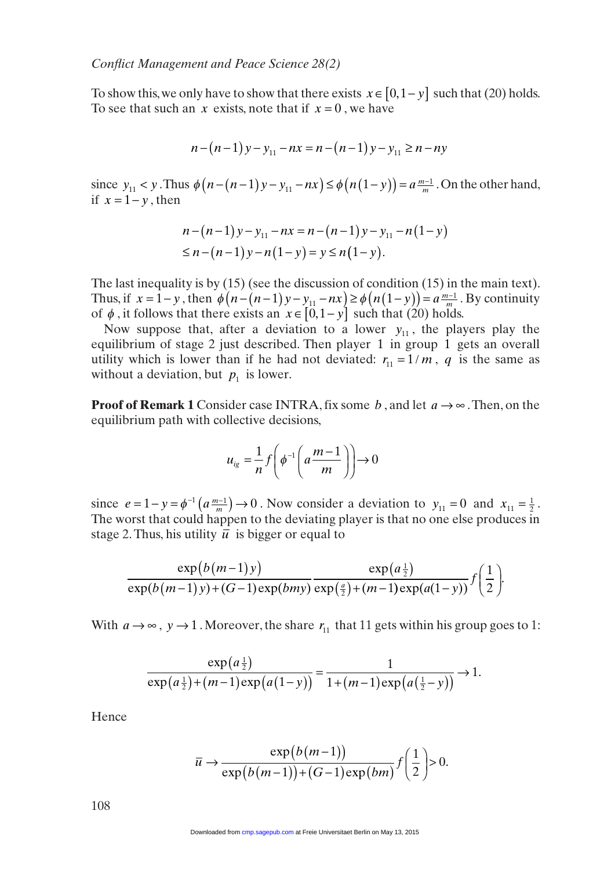To show this, we only have to show that there exists  $x \in [0, 1 - y]$  such that (20) holds. To see that such an *x* exists, note that if  $x = 0$ , we have

$$
n - (n - 1) y - y_{11} - nx = n - (n - 1) y - y_{11} \ge n - ny
$$

since  $y_{11} < y$ . Thus  $\phi(n - (n - 1)y - y_{11} - nx) \leq \phi(n(1 - y)) = a \frac{m - 1}{m}$ . On the other hand, if  $x = 1 - y$ , then

$$
n - (n-1)y - y_{11} - nx = n - (n-1)y - y_{11} - n(1-y)
$$
  
\n
$$
\leq n - (n-1)y - n(1-y) = y \leq n(1-y).
$$

The last inequality is by (15) (see the discussion of condition (15) in the main text). Thus, if  $x = 1 - y$ , then  $\phi(n - (n - 1)y - y_{11} - nx) \ge \phi(n(1 - y)) = a \frac{m - 1}{m}$ . By continuity of  $\phi$ , it follows that there exists an  $x \in [0, 1 - y]$  such that (20) holds.

Now suppose that, after a deviation to a lower  $y_{11}$ , the players play the equilibrium of stage 2 just described. Then player 1 in group 1 gets an overall utility which is lower than if he had not deviated:  $r_{11} = 1/m$ , q is the same as without a deviation, but  $p_1$  is lower.

**Proof of Remark 1** Consider case INTRA, fix some *b*, and let  $a \rightarrow \infty$ . Then, on the equilibrium path with collective decisions,

$$
u_{ig} = \frac{1}{n} f\left(\phi^{-1}\left(a\frac{m-1}{m}\right)\right) \to 0
$$

since  $e = 1 - y = \phi^{-1}(a \frac{m-1}{m}) \rightarrow 0$ . Now consider a deviation to  $y_{11} = 0$  and  $x_{11} = \frac{1}{2}$ . The worst that could happen to the deviating player is that no one else produces in stage 2. Thus, his utility  $\bar{u}$  is bigger or equal to

$$
\frac{\exp(b(m-1)y)}{\exp(b(m-1)y)+(G-1)\exp(bmy)}\frac{\exp(a\frac{1}{2})}{\exp(\frac{a}{2})+(m-1)\exp(a(1-y))}f\left(\frac{1}{2}\right).
$$

With  $a \rightarrow \infty$ ,  $y \rightarrow 1$ . Moreover, the share  $r_{11}$  that 11 gets within his group goes to 1:

$$
\frac{\exp(a\frac{1}{2})}{\exp(a\frac{1}{2})+(m-1)\exp(a(1-y))} = \frac{1}{1+(m-1)\exp(a(\frac{1}{2}-y))} \to 1.
$$

Hence

$$
\overline{u} \to \frac{\exp(b(m-1))}{\exp(b(m-1)) + (G-1)\exp(bm)} f\left(\frac{1}{2}\right) > 0.
$$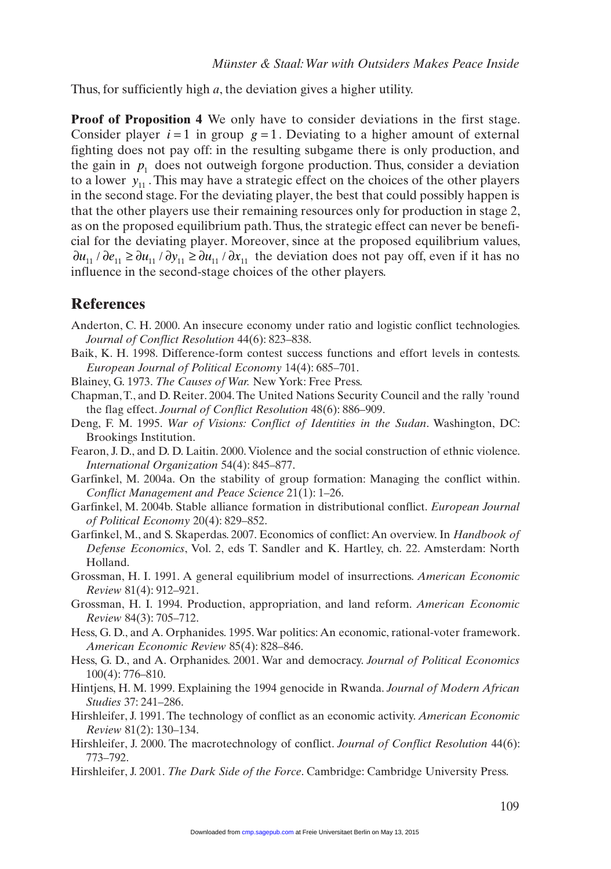Thus, for sufficiently high *a*, the deviation gives a higher utility.

**Proof of Proposition 4** We only have to consider deviations in the first stage. Consider player  $i = 1$  in group  $g = 1$ . Deviating to a higher amount of external fighting does not pay off: in the resulting subgame there is only production, and the gain in  $p_1$  does not outweigh forgone production. Thus, consider a deviation to a lower  $y_{11}$ . This may have a strategic effect on the choices of the other players in the second stage. For the deviating player, the best that could possibly happen is that the other players use their remaining resources only for production in stage 2, as on the proposed equilibrium path. Thus, the strategic effect can never be beneficial for the deviating player. Moreover, since at the proposed equilibrium values,  $\partial u_{11}$  /  $\partial e_{11} \ge \partial u_{11}$  /  $\partial y_{11} \ge \partial u_{11}$  /  $\partial x_{11}$  the deviation does not pay off, even if it has no influence in the second-stage choices of the other players.

## **References**

- Anderton, C. H. 2000. An insecure economy under ratio and logistic conflict technologies. *Journal of Conflict Resolution* 44(6): 823–838.
- Baik, K. H. 1998. Difference-form contest success functions and effort levels in contests. *European Journal of Political Economy* 14(4): 685–701.
- Blainey, G. 1973. *The Causes of War.* New York: Free Press.
- Chapman, T., and D. Reiter. 2004. The United Nations Security Council and the rally 'round the flag effect. *Journal of Conflict Resolution* 48(6): 886–909.
- Deng, F. M. 1995. *War of Visions: Conflict of Identities in the Sudan*. Washington, DC: Brookings Institution.
- Fearon, J. D., and D. D. Laitin. 2000. Violence and the social construction of ethnic violence. *International Organization* 54(4): 845–877.
- Garfinkel, M. 2004a. On the stability of group formation: Managing the conflict within. *Conflict Management and Peace Science* 21(1): 1–26.
- Garfinkel, M. 2004b. Stable alliance formation in distributional conflict. *European Journal of Political Economy* 20(4): 829–852.
- Garfinkel, M., and S. Skaperdas. 2007. Economics of conflict: An overview. In *Handbook of Defense Economics*, Vol. 2, eds T. Sandler and K. Hartley, ch. 22. Amsterdam: North Holland.
- Grossman, H. I. 1991. A general equilibrium model of insurrections. *American Economic Review* 81(4): 912–921.
- Grossman, H. I. 1994. Production, appropriation, and land reform. *American Economic Review* 84(3): 705–712.
- Hess, G. D., and A. Orphanides. 1995. War politics: An economic, rational-voter framework. *American Economic Review* 85(4): 828–846.
- Hess, G. D., and A. Orphanides. 2001. War and democracy. *Journal of Political Economics* 100(4): 776–810.
- Hintjens, H. M. 1999. Explaining the 1994 genocide in Rwanda. *Journal of Modern African Studies* 37: 241–286.
- Hirshleifer, J. 1991. The technology of conflict as an economic activity. *American Economic Review* 81(2): 130–134.
- Hirshleifer, J. 2000. The macrotechnology of conflict. *Journal of Conflict Resolution* 44(6): 773–792.
- Hirshleifer, J. 2001. *The Dark Side of the Force*. Cambridge: Cambridge University Press.